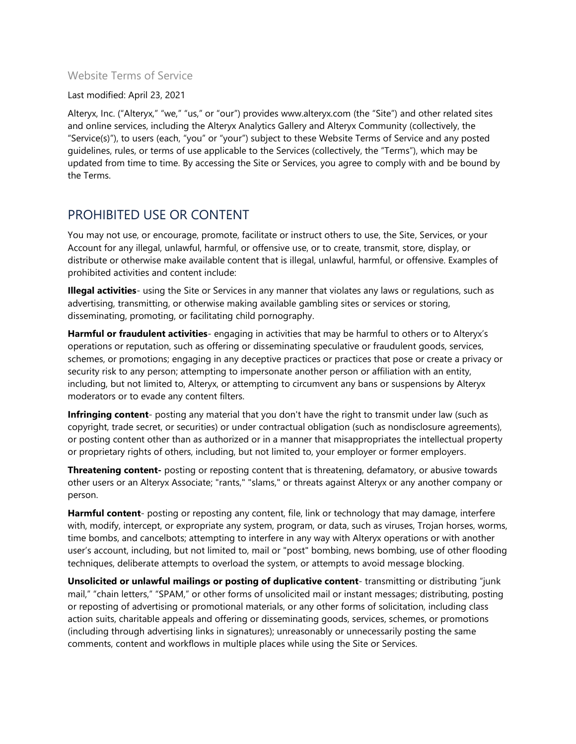#### Website Terms of Service

#### Last modified: April 23, 2021

Alteryx, Inc. ("Alteryx," "we," "us," or "our") provides www.alteryx.com (the "Site") and other related sites and online services, including the Alteryx Analytics Gallery and Alteryx Community (collectively, the "Service(s)"), to users (each, "you" or "your") subject to these Website Terms of Service and any posted guidelines, rules, or terms of use applicable to the Services (collectively, the "Terms"), which may be updated from time to time. By accessing the Site or Services, you agree to comply with and be bound by the Terms.

#### PROHIBITED USE OR CONTENT

You may not use, or encourage, promote, facilitate or instruct others to use, the Site, Services, or your Account for any illegal, unlawful, harmful, or offensive use, or to create, transmit, store, display, or distribute or otherwise make available content that is illegal, unlawful, harmful, or offensive. Examples of prohibited activities and content include:

**Illegal activities**- using the Site or Services in any manner that violates any laws or regulations, such as advertising, transmitting, or otherwise making available gambling sites or services or storing, disseminating, promoting, or facilitating child pornography.

**Harmful or fraudulent activities**- engaging in activities that may be harmful to others or to Alteryx's operations or reputation, such as offering or disseminating speculative or fraudulent goods, services, schemes, or promotions; engaging in any deceptive practices or practices that pose or create a privacy or security risk to any person; attempting to impersonate another person or affiliation with an entity, including, but not limited to, Alteryx, or attempting to circumvent any bans or suspensions by Alteryx moderators or to evade any content filters.

**Infringing content**- posting any material that you don't have the right to transmit under law (such as copyright, trade secret, or securities) or under contractual obligation (such as nondisclosure agreements), or posting content other than as authorized or in a manner that misappropriates the intellectual property or proprietary rights of others, including, but not limited to, your employer or former employers.

**Threatening content-** posting or reposting content that is threatening, defamatory, or abusive towards other users or an Alteryx Associate; "rants," "slams," or threats against Alteryx or any another company or person.

**Harmful content**- posting or reposting any content, file, link or technology that may damage, interfere with, modify, intercept, or expropriate any system, program, or data, such as viruses, Trojan horses, worms, time bombs, and cancelbots; attempting to interfere in any way with Alteryx operations or with another user's account, including, but not limited to, mail or "post" bombing, news bombing, use of other flooding techniques, deliberate attempts to overload the system, or attempts to avoid message blocking.

**Unsolicited or unlawful mailings or posting of duplicative content**- transmitting or distributing "junk mail," "chain letters," "SPAM," or other forms of unsolicited mail or instant messages; distributing, posting or reposting of advertising or promotional materials, or any other forms of solicitation, including class action suits, charitable appeals and offering or disseminating goods, services, schemes, or promotions (including through advertising links in signatures); unreasonably or unnecessarily posting the same comments, content and workflows in multiple places while using the Site or Services.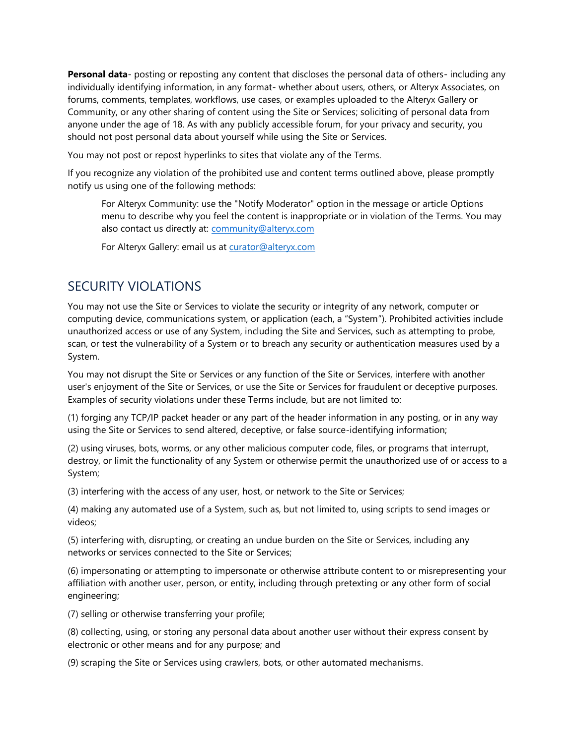**Personal data**- posting or reposting any content that discloses the personal data of others- including any individually identifying information, in any format- whether about users, others, or Alteryx Associates, on forums, comments, templates, workflows, use cases, or examples uploaded to the Alteryx Gallery or Community, or any other sharing of content using the Site or Services; soliciting of personal data from anyone under the age of 18. As with any publicly accessible forum, for your privacy and security, you should not post personal data about yourself while using the Site or Services.

You may not post or repost hyperlinks to sites that violate any of the Terms.

If you recognize any violation of the prohibited use and content terms outlined above, please promptly notify us using one of the following methods:

For Alteryx Community: use the "Notify Moderator" option in the message or article Options menu to describe why you feel the content is inappropriate or in violation of the Terms. You may also contact us directly at: [community@alteryx.com](mailto:community@alteryx.com)

For Alteryx Gallery: email us at [curator@alteryx.com](mailto:curator@alteryx.com)

## SECURITY VIOLATIONS

You may not use the Site or Services to violate the security or integrity of any network, computer or computing device, communications system, or application (each, a "System"). Prohibited activities include unauthorized access or use of any System, including the Site and Services, such as attempting to probe, scan, or test the vulnerability of a System or to breach any security or authentication measures used by a System.

You may not disrupt the Site or Services or any function of the Site or Services, interfere with another user's enjoyment of the Site or Services, or use the Site or Services for fraudulent or deceptive purposes. Examples of security violations under these Terms include, but are not limited to:

(1) forging any TCP/IP packet header or any part of the header information in any posting, or in any way using the Site or Services to send altered, deceptive, or false source-identifying information;

(2) using viruses, bots, worms, or any other malicious computer code, files, or programs that interrupt, destroy, or limit the functionality of any System or otherwise permit the unauthorized use of or access to a System;

(3) interfering with the access of any user, host, or network to the Site or Services;

(4) making any automated use of a System, such as, but not limited to, using scripts to send images or videos;

(5) interfering with, disrupting, or creating an undue burden on the Site or Services, including any networks or services connected to the Site or Services;

(6) impersonating or attempting to impersonate or otherwise attribute content to or misrepresenting your affiliation with another user, person, or entity, including through pretexting or any other form of social engineering;

(7) selling or otherwise transferring your profile;

(8) collecting, using, or storing any personal data about another user without their express consent by electronic or other means and for any purpose; and

(9) scraping the Site or Services using crawlers, bots, or other automated mechanisms.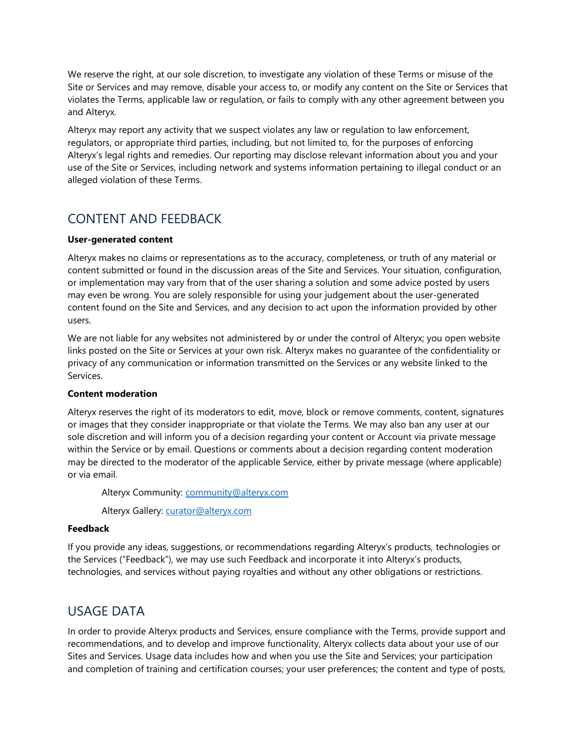We reserve the right, at our sole discretion, to investigate any violation of these Terms or misuse of the Site or Services and may remove, disable your access to, or modify any content on the Site or Services that violates the Terms, applicable law or regulation, or fails to comply with any other agreement between you and Alteryx.

Alteryx may report any activity that we suspect violates any law or regulation to law enforcement, regulators, or appropriate third parties, including, but not limited to, for the purposes of enforcing Alteryx's legal rights and remedies. Our reporting may disclose relevant information about you and your use of the Site or Services, including network and systems information pertaining to illegal conduct or an alleged violation of these Terms.

# CONTENT AND FEEDBACK

#### **User-generated content**

Alteryx makes no claims or representations as to the accuracy, completeness, or truth of any material or content submitted or found in the discussion areas of the Site and Services. Your situation, configuration, or implementation may vary from that of the user sharing a solution and some advice posted by users may even be wrong. You are solely responsible for using your judgement about the user-generated content found on the Site and Services, and any decision to act upon the information provided by other users.

We are not liable for any websites not administered by or under the control of Alteryx; you open website links posted on the Site or Services at your own risk. Alteryx makes no guarantee of the confidentiality or privacy of any communication or information transmitted on the Services or any website linked to the Services.

#### **Content moderation**

Alteryx reserves the right of its moderators to edit, move, block or remove comments, content, signatures or images that they consider inappropriate or that violate the Terms. We may also ban any user at our sole discretion and will inform you of a decision regarding your content or Account via private message within the Service or by email. Questions or comments about a decision regarding content moderation may be directed to the moderator of the applicable Service, either by private message (where applicable) or via email.

Alteryx Community: [community@alteryx.com](mailto:community@alteryx.com)

Alteryx Gallery: [curator@alteryx.com](mailto:curator@alteryx.com)

#### **Feedback**

If you provide any ideas, suggestions, or recommendations regarding Alteryx's products, technologies or the Services ("Feedback"), we may use such Feedback and incorporate it into Alteryx's products, technologies, and services without paying royalties and without any other obligations or restrictions.

## USAGE DATA

In order to provide Alteryx products and Services, ensure compliance with the Terms, provide support and recommendations, and to develop and improve functionality, Alteryx collects data about your use of our Sites and Services. Usage data includes how and when you use the Site and Services; your participation and completion of training and certification courses; your user preferences; the content and type of posts,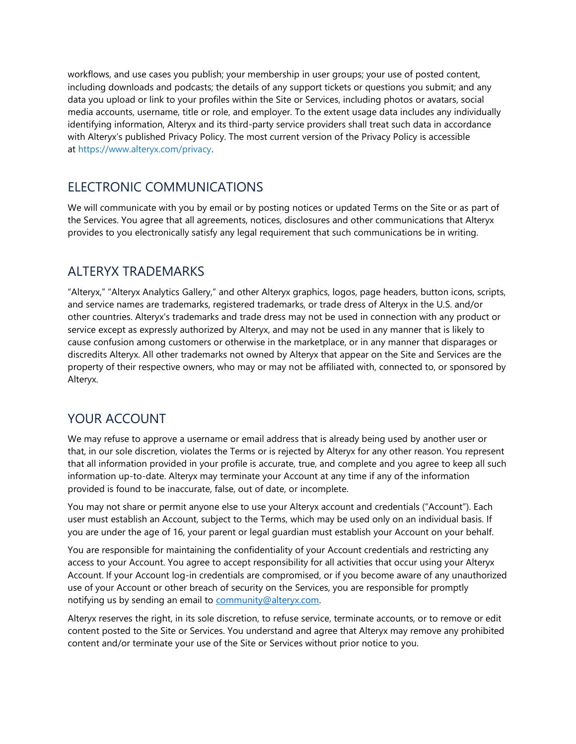workflows, and use cases you publish; your membership in user groups; your use of posted content, including downloads and podcasts; the details of any support tickets or questions you submit; and any data you upload or link to your profiles within the Site or Services, including photos or avatars, social media accounts, username, title or role, and employer. To the extent usage data includes any individually identifying information, Alteryx and its third-party service providers shall treat such data in accordance with Alteryx's published Privacy Policy. The most current version of the Privacy Policy is accessible at [https://www.alteryx.com/privacy.](https://www.alteryx.com/privacy)

## ELECTRONIC COMMUNICATIONS

We will communicate with you by email or by posting notices or updated Terms on the Site or as part of the Services. You agree that all agreements, notices, disclosures and other communications that Alteryx provides to you electronically satisfy any legal requirement that such communications be in writing.

## ALTERYX TRADEMARKS

"Alteryx," "Alteryx Analytics Gallery," and other Alteryx graphics, logos, page headers, button icons, scripts, and service names are trademarks, registered trademarks, or trade dress of Alteryx in the U.S. and/or other countries. Alteryx's trademarks and trade dress may not be used in connection with any product or service except as expressly authorized by Alteryx, and may not be used in any manner that is likely to cause confusion among customers or otherwise in the marketplace, or in any manner that disparages or discredits Alteryx. All other trademarks not owned by Alteryx that appear on the Site and Services are the property of their respective owners, who may or may not be affiliated with, connected to, or sponsored by Alteryx.

# YOUR ACCOUNT

We may refuse to approve a username or email address that is already being used by another user or that, in our sole discretion, violates the Terms or is rejected by Alteryx for any other reason. You represent that all information provided in your profile is accurate, true, and complete and you agree to keep all such information up-to-date. Alteryx may terminate your Account at any time if any of the information provided is found to be inaccurate, false, out of date, or incomplete.

You may not share or permit anyone else to use your Alteryx account and credentials ("Account"). Each user must establish an Account, subject to the Terms, which may be used only on an individual basis. If you are under the age of 16, your parent or legal guardian must establish your Account on your behalf.

You are responsible for maintaining the confidentiality of your Account credentials and restricting any access to your Account. You agree to accept responsibility for all activities that occur using your Alteryx Account. If your Account log-in credentials are compromised, or if you become aware of any unauthorized use of your Account or other breach of security on the Services, you are responsible for promptly notifying us by sending an email to [community@alteryx.com.](mailto:community@alteryx.com)

Alteryx reserves the right, in its sole discretion, to refuse service, terminate accounts, or to remove or edit content posted to the Site or Services. You understand and agree that Alteryx may remove any prohibited content and/or terminate your use of the Site or Services without prior notice to you.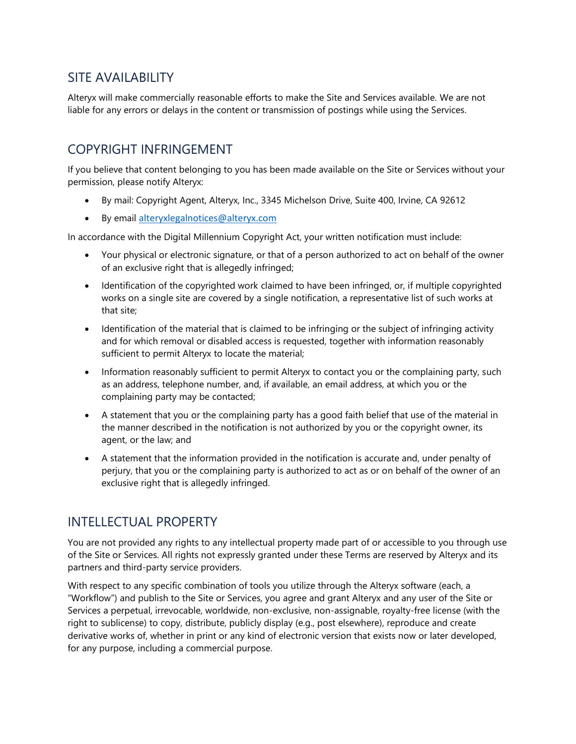## SITE AVAILABILITY

Alteryx will make commercially reasonable efforts to make the Site and Services available. We are not liable for any errors or delays in the content or transmission of postings while using the Services.

## COPYRIGHT INFRINGEMENT

If you believe that content belonging to you has been made available on the Site or Services without your permission, please notify Alteryx:

- By mail: Copyright Agent, Alteryx, Inc., 3345 Michelson Drive, Suite 400, Irvine, CA 92612
- By email [alteryxlegalnotices@alteryx.com](mailto:alteryxlegalnotices@alteryx.com)

In accordance with the Digital Millennium Copyright Act, your written notification must include:

- Your physical or electronic signature, or that of a person authorized to act on behalf of the owner of an exclusive right that is allegedly infringed;
- Identification of the copyrighted work claimed to have been infringed, or, if multiple copyrighted works on a single site are covered by a single notification, a representative list of such works at that site;
- Identification of the material that is claimed to be infringing or the subject of infringing activity and for which removal or disabled access is requested, together with information reasonably sufficient to permit Alteryx to locate the material;
- Information reasonably sufficient to permit Alteryx to contact you or the complaining party, such as an address, telephone number, and, if available, an email address, at which you or the complaining party may be contacted;
- A statement that you or the complaining party has a good faith belief that use of the material in the manner described in the notification is not authorized by you or the copyright owner, its agent, or the law; and
- A statement that the information provided in the notification is accurate and, under penalty of perjury, that you or the complaining party is authorized to act as or on behalf of the owner of an exclusive right that is allegedly infringed.

# INTELLECTUAL PROPERTY

You are not provided any rights to any intellectual property made part of or accessible to you through use of the Site or Services. All rights not expressly granted under these Terms are reserved by Alteryx and its partners and third-party service providers.

With respect to any specific combination of tools you utilize through the Alteryx software (each, a "Workflow") and publish to the Site or Services, you agree and grant Alteryx and any user of the Site or Services a perpetual, irrevocable, worldwide, non-exclusive, non-assignable, royalty-free license (with the right to sublicense) to copy, distribute, publicly display (e.g., post elsewhere), reproduce and create derivative works of, whether in print or any kind of electronic version that exists now or later developed, for any purpose, including a commercial purpose.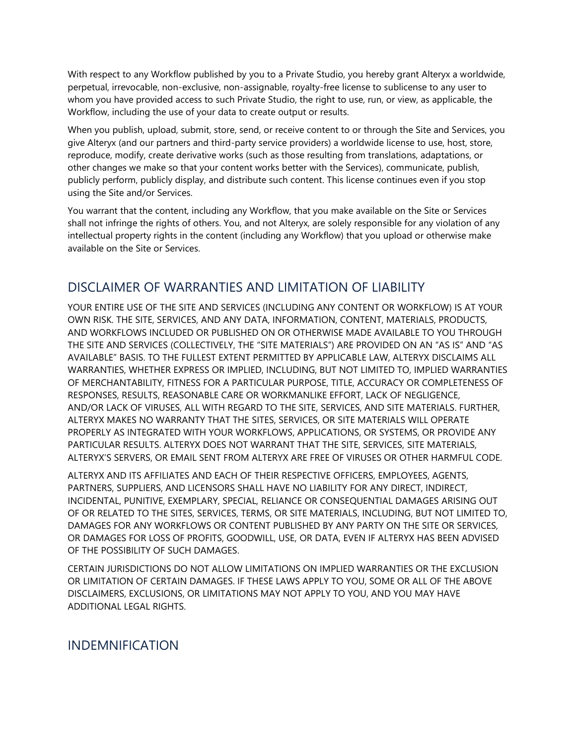With respect to any Workflow published by you to a Private Studio, you hereby grant Alteryx a worldwide, perpetual, irrevocable, non-exclusive, non-assignable, royalty-free license to sublicense to any user to whom you have provided access to such Private Studio, the right to use, run, or view, as applicable, the Workflow, including the use of your data to create output or results.

When you publish, upload, submit, store, send, or receive content to or through the Site and Services, you give Alteryx (and our partners and third-party service providers) a worldwide license to use, host, store, reproduce, modify, create derivative works (such as those resulting from translations, adaptations, or other changes we make so that your content works better with the Services), communicate, publish, publicly perform, publicly display, and distribute such content. This license continues even if you stop using the Site and/or Services.

You warrant that the content, including any Workflow, that you make available on the Site or Services shall not infringe the rights of others. You, and not Alteryx, are solely responsible for any violation of any intellectual property rights in the content (including any Workflow) that you upload or otherwise make available on the Site or Services.

### DISCLAIMER OF WARRANTIES AND LIMITATION OF LIABILITY

YOUR ENTIRE USE OF THE SITE AND SERVICES (INCLUDING ANY CONTENT OR WORKFLOW) IS AT YOUR OWN RISK. THE SITE, SERVICES, AND ANY DATA, INFORMATION, CONTENT, MATERIALS, PRODUCTS, AND WORKFLOWS INCLUDED OR PUBLISHED ON OR OTHERWISE MADE AVAILABLE TO YOU THROUGH THE SITE AND SERVICES (COLLECTIVELY, THE "SITE MATERIALS") ARE PROVIDED ON AN "AS IS" AND "AS AVAILABLE" BASIS. TO THE FULLEST EXTENT PERMITTED BY APPLICABLE LAW, ALTERYX DISCLAIMS ALL WARRANTIES, WHETHER EXPRESS OR IMPLIED, INCLUDING, BUT NOT LIMITED TO, IMPLIED WARRANTIES OF MERCHANTABILITY, FITNESS FOR A PARTICULAR PURPOSE, TITLE, ACCURACY OR COMPLETENESS OF RESPONSES, RESULTS, REASONABLE CARE OR WORKMANLIKE EFFORT, LACK OF NEGLIGENCE, AND/OR LACK OF VIRUSES, ALL WITH REGARD TO THE SITE, SERVICES, AND SITE MATERIALS. FURTHER, ALTERYX MAKES NO WARRANTY THAT THE SITES, SERVICES, OR SITE MATERIALS WILL OPERATE PROPERLY AS INTEGRATED WITH YOUR WORKFLOWS, APPLICATIONS, OR SYSTEMS, OR PROVIDE ANY PARTICULAR RESULTS. ALTERYX DOES NOT WARRANT THAT THE SITE, SERVICES, SITE MATERIALS, ALTERYX'S SERVERS, OR EMAIL SENT FROM ALTERYX ARE FREE OF VIRUSES OR OTHER HARMFUL CODE.

ALTERYX AND ITS AFFILIATES AND EACH OF THEIR RESPECTIVE OFFICERS, EMPLOYEES, AGENTS, PARTNERS, SUPPLIERS, AND LICENSORS SHALL HAVE NO LIABILITY FOR ANY DIRECT, INDIRECT, INCIDENTAL, PUNITIVE, EXEMPLARY, SPECIAL, RELIANCE OR CONSEQUENTIAL DAMAGES ARISING OUT OF OR RELATED TO THE SITES, SERVICES, TERMS, OR SITE MATERIALS, INCLUDING, BUT NOT LIMITED TO, DAMAGES FOR ANY WORKFLOWS OR CONTENT PUBLISHED BY ANY PARTY ON THE SITE OR SERVICES, OR DAMAGES FOR LOSS OF PROFITS, GOODWILL, USE, OR DATA, EVEN IF ALTERYX HAS BEEN ADVISED OF THE POSSIBILITY OF SUCH DAMAGES.

CERTAIN JURISDICTIONS DO NOT ALLOW LIMITATIONS ON IMPLIED WARRANTIES OR THE EXCLUSION OR LIMITATION OF CERTAIN DAMAGES. IF THESE LAWS APPLY TO YOU, SOME OR ALL OF THE ABOVE DISCLAIMERS, EXCLUSIONS, OR LIMITATIONS MAY NOT APPLY TO YOU, AND YOU MAY HAVE ADDITIONAL LEGAL RIGHTS.

INDEMNIFICATION